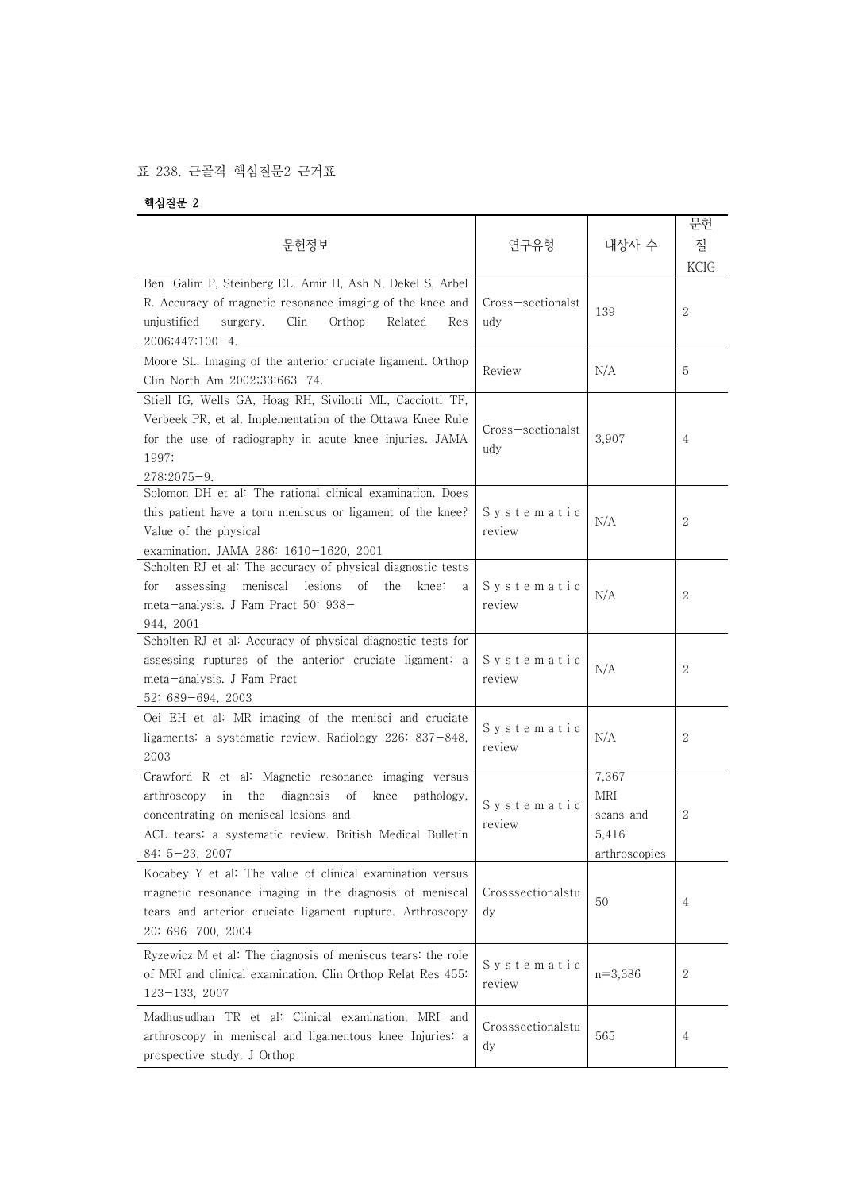## 표 238. 근골격 핵심질문2 근거표

핵심질문 2

| 문헌정보                                                                                                                                                                                                                                            | 연구유형                     | 대상자 수                                                                | 문헌<br>질<br>KCIG |
|-------------------------------------------------------------------------------------------------------------------------------------------------------------------------------------------------------------------------------------------------|--------------------------|----------------------------------------------------------------------|-----------------|
| Ben-Galim P, Steinberg EL, Amir H, Ash N, Dekel S, Arbel<br>R. Accuracy of magnetic resonance imaging of the knee and<br>unjustified<br>Clin<br>Orthop<br>Related<br>surgery.<br>Res<br>$2006;447:100-4.$                                       | Cross-sectionalst<br>udy | 139                                                                  | $\overline{2}$  |
| Moore SL. Imaging of the anterior cruciate ligament. Orthop<br>Clin North Am 2002;33:663-74.                                                                                                                                                    | Review                   | N/A                                                                  | 5               |
| Stiell IG, Wells GA, Hoag RH, Sivilotti ML, Cacciotti TF,<br>Verbeek PR, et al. Implementation of the Ottawa Knee Rule<br>for the use of radiography in acute knee injuries. JAMA<br>1997;<br>$278:2075 - 9.$                                   | Cross-sectionalst<br>udy | 3,907                                                                | 4               |
| Solomon DH et al: The rational clinical examination. Does<br>this patient have a torn meniscus or ligament of the knee?<br>Value of the physical<br>examination. JAMA 286: 1610-1620, 2001                                                      | Systematic<br>review     | N/A                                                                  | 2               |
| Scholten RJ et al: The accuracy of physical diagnostic tests<br>meniscal<br>lesions<br>for<br>assessing<br>Οf<br>the<br>knee:<br>a<br>meta-analysis. J Fam Pract 50: 938-<br>944, 2001                                                          | Systematic<br>review     | N/A                                                                  | 2               |
| Scholten RJ et al: Accuracy of physical diagnostic tests for<br>assessing ruptures of the anterior cruciate ligament: a<br>meta-analysis. J Fam Pract<br>52: 689-694, 2003                                                                      | Systematic<br>review     | N/A                                                                  | 2               |
| Oei EH et al: MR imaging of the menisci and cruciate<br>ligaments: a systematic review. Radiology 226: 837-848,<br>2003                                                                                                                         | Systematic<br>review     | N/A                                                                  | 2               |
| Crawford R et al: Magnetic resonance imaging versus<br>arthroscopy<br>in<br>the<br>diagnosis<br>οf<br>knee<br>pathology,<br>concentrating on meniscal lesions and<br>ACL tears: a systematic review. British Medical Bulletin<br>$84:5-23,2007$ | Svstematic<br>review     | 7,367<br>$\operatorname{MRI}$<br>scans and<br>5,416<br>arthroscopies | 2               |
| Kocabey Y et al: The value of clinical examination versus<br>magnetic resonance imaging in the diagnosis of meniscal<br>tears and anterior cruciate ligament rupture. Arthroscopy<br>20: 696-700, 2004                                          | Crosssectionalstu<br>dy  | 50                                                                   | 4               |
| Ryzewicz M et al: The diagnosis of meniscus tears: the role<br>of MRI and clinical examination. Clin Orthop Relat Res 455:<br>$123 - 133, 2007$                                                                                                 | Systematic<br>review     | $n = 3,386$                                                          | 2               |
| Madhusudhan TR et al: Clinical examination, MRI and<br>arthroscopy in meniscal and ligamentous knee Injuries: a<br>prospective study. J Orthop                                                                                                  | Crosssectionalstu<br>dy  | 565                                                                  | 4               |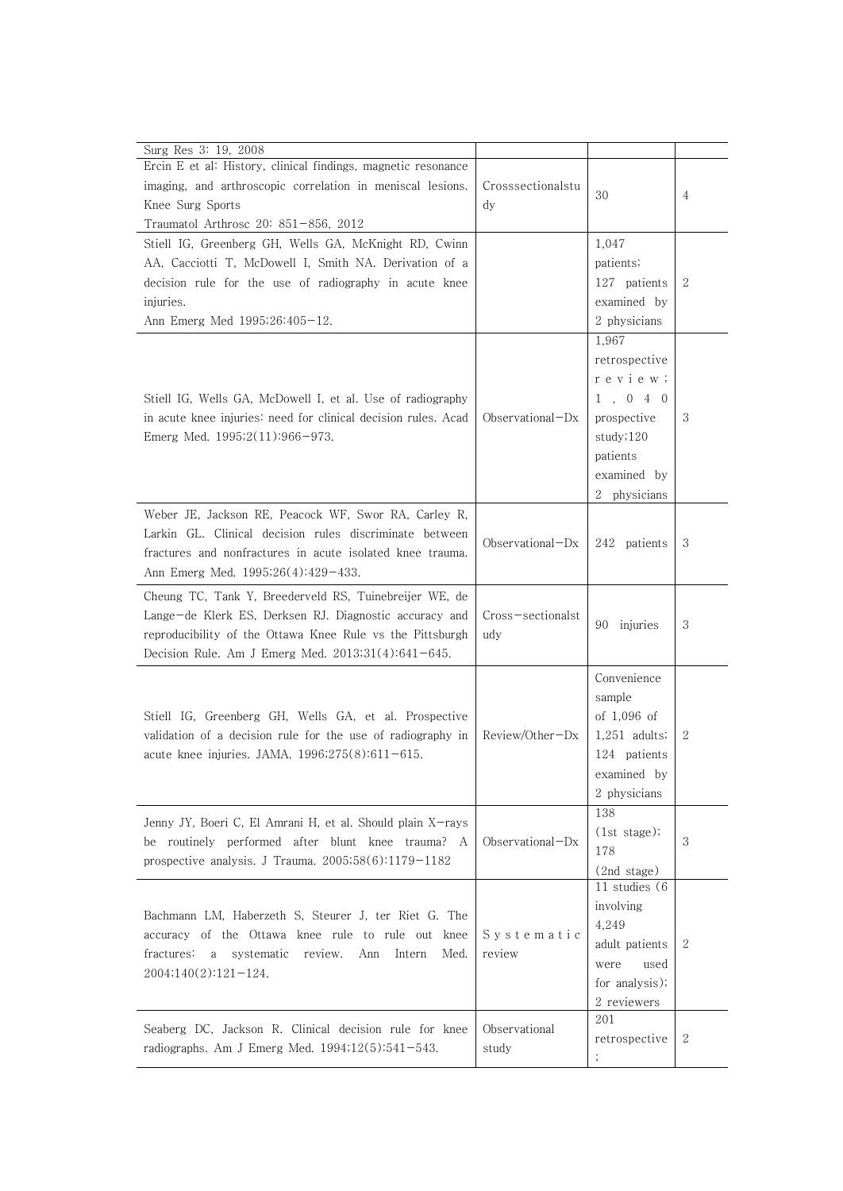| Surg Res 3: 19, 2008                                                                                              |                    |                 |              |
|-------------------------------------------------------------------------------------------------------------------|--------------------|-----------------|--------------|
| Ercin E et al: History, clinical findings, magnetic resonance                                                     |                    |                 |              |
| imaging, and arthroscopic correlation in meniscal lesions.                                                        | Crosssectionalstu  |                 |              |
| Knee Surg Sports                                                                                                  | $\mathrm{d}$ y     | 30              | 4            |
| Traumatol Arthrosc 20: 851-856, 2012                                                                              |                    |                 |              |
| Stiell IG, Greenberg GH, Wells GA, McKnight RD, Cwinn                                                             |                    | 1,047           |              |
| AA, Cacciotti T, McDowell I, Smith NA. Derivation of a                                                            |                    | patients;       |              |
| decision rule for the use of radiography in acute knee                                                            |                    | 127 patients    | $\mathbf{2}$ |
| injuries.                                                                                                         |                    | examined by     |              |
| Ann Emerg Med 1995;26:405-12.                                                                                     |                    | 2 physicians    |              |
|                                                                                                                   |                    | 1,967           |              |
|                                                                                                                   |                    | retrospective   |              |
|                                                                                                                   |                    | r e v i e w ;   |              |
| Stiell IG, Wells GA, McDowell I, et al. Use of radiography                                                        |                    | 1, 0, 4, 0      |              |
|                                                                                                                   |                    |                 | 3            |
| in acute knee injuries: need for clinical decision rules. Acad                                                    | $Observational-Dx$ | prospective     |              |
| Emerg Med. $1995;2(11):966-973$ .                                                                                 |                    | study;120       |              |
|                                                                                                                   |                    | patients        |              |
|                                                                                                                   |                    | examined by     |              |
|                                                                                                                   |                    | 2 physicians    |              |
| Weber JE, Jackson RE, Peacock WF, Swor RA, Carley R,                                                              |                    |                 |              |
| Larkin GL. Clinical decision rules discriminate between                                                           | $Observational-Dx$ | 242 patients    | 3            |
| fractures and nonfractures in acute isolated knee trauma.                                                         |                    |                 |              |
| Ann Emerg Med. 1995;26(4):429-433.                                                                                |                    |                 |              |
| Cheung TC, Tank Y, Breederveld RS, Tuinebreijer WE, de                                                            |                    |                 |              |
| Lange-de Klerk ES, Derksen RJ. Diagnostic accuracy and                                                            | Cross-sectionalst  | injuries<br>90  | 3            |
| reproducibility of the Ottawa Knee Rule vs the Pittsburgh                                                         | udy                |                 |              |
| Decision Rule. Am J Emerg Med. $2013;31(4):641-645$ .                                                             |                    |                 |              |
|                                                                                                                   |                    | Convenience     |              |
|                                                                                                                   |                    | sample          |              |
| Stiell IG, Greenberg GH, Wells GA, et al. Prospective                                                             |                    | of $1,096$ of   |              |
| validation of a decision rule for the use of radiography in<br>acute knee injuries. JAMA. $1996;275(8):611-615$ . | Review/Other-Dx    | $1,251$ adults; | $\mathbf{2}$ |
|                                                                                                                   |                    | 124 patients    |              |
|                                                                                                                   |                    | examined by     |              |
|                                                                                                                   |                    | 2 physicians    |              |
|                                                                                                                   |                    | 138             |              |
| Jenny JY, Boeri C, El Amrani H, et al. Should plain X-rays                                                        |                    | (1st stage);    |              |
| be routinely performed after blunt knee trauma? A                                                                 | Observational-Dx   | 178             | 3            |
| prospective analysis. J Trauma. $2005;58(6):1179-1182$                                                            |                    | (2nd stage)     |              |
|                                                                                                                   |                    | 11 studies (6   |              |
| Bachmann LM, Haberzeth S, Steurer J, ter Riet G. The                                                              |                    | involving       |              |
| accuracy of the Ottawa knee rule to rule out knee                                                                 | Systematic         | 4,249           |              |
| fractures:<br>a systematic<br>review.<br>Ann Intern<br>Med.                                                       | review             | adult patients  | 2            |
|                                                                                                                   |                    | used<br>were    |              |
| $2004;140(2):121-124.$                                                                                            |                    | for analysis);  |              |
|                                                                                                                   |                    | 2 reviewers     |              |
| Seaberg DC, Jackson R. Clinical decision rule for knee                                                            | Observational      | 201             |              |
| radiographs. Am J Emerg Med. 1994;12(5):541-543.                                                                  | study              | retrospective   | 2            |
|                                                                                                                   |                    |                 |              |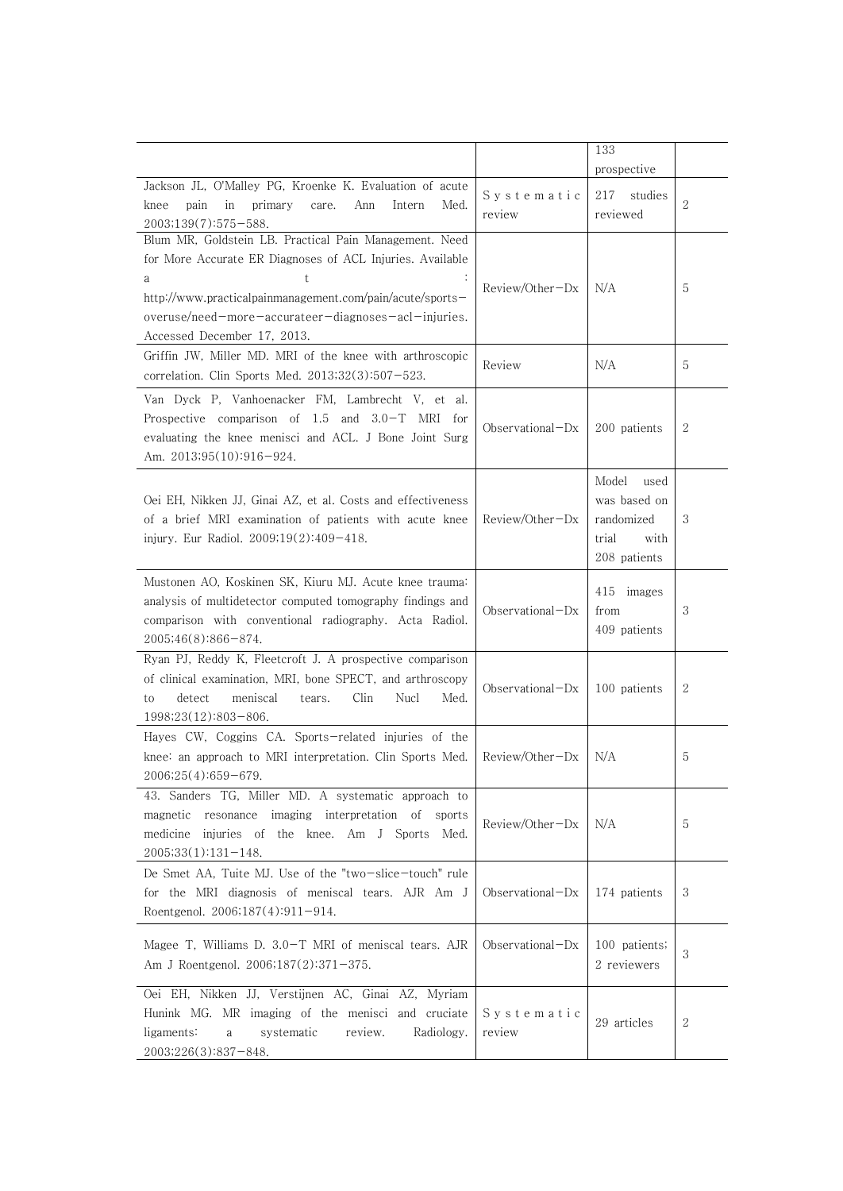|                                                                                                                                                                                                             |                      | 133                                                                          |   |
|-------------------------------------------------------------------------------------------------------------------------------------------------------------------------------------------------------------|----------------------|------------------------------------------------------------------------------|---|
|                                                                                                                                                                                                             |                      | prospective                                                                  |   |
| Jackson JL, O'Malley PG, Kroenke K. Evaluation of acute<br>pain<br>in<br>primary<br>Ann<br>knee<br>care.<br>Intern<br>Med.<br>2003;139(7):575-588.                                                          | Systematic<br>review | 217<br>studies<br>reviewed                                                   | 2 |
| Blum MR, Goldstein LB. Practical Pain Management. Need<br>for More Accurate ER Diagnoses of ACL Injuries. Available<br>t.<br>a<br>http://www.practicalpainmanagement.com/pain/acute/sports-                 | $Review/Other-Dx$    | N/A                                                                          | 5 |
| overuse/need-more-accurateer-diagnoses-acl-injuries.                                                                                                                                                        |                      |                                                                              |   |
| Accessed December 17, 2013.<br>Griffin JW, Miller MD. MRI of the knee with arthroscopic<br>correlation. Clin Sports Med. 2013;32(3):507-523.                                                                | Review               | N/A                                                                          | 5 |
| Van Dyck P, Vanhoenacker FM, Lambrecht V, et al.<br>Prospective comparison of 1.5 and 3.0-T MRI for<br>evaluating the knee menisci and ACL. J Bone Joint Surg<br>Am. 2013;95(10):916-924.                   | $Observational-Dx$   | 200 patients                                                                 | 2 |
| Oei EH, Nikken JJ, Ginai AZ, et al. Costs and effectiveness<br>of a brief MRI examination of patients with acute knee<br>injury. Eur Radiol. $2009;19(2):409-418$ .                                         | $Review/Other-Dx$    | Model<br>used<br>was based on<br>randomized<br>trial<br>with<br>208 patients | 3 |
| Mustonen AO, Koskinen SK, Kiuru MJ. Acute knee trauma:<br>analysis of multidetector computed tomography findings and<br>comparison with conventional radiography. Acta Radiol.<br>2005;46(8):866-874.       | Observational $-Dx$  | 415<br>images<br>from<br>409 patients                                        | 3 |
| Ryan PJ, Reddy K, Fleetcroft J. A prospective comparison<br>of clinical examination, MRI, bone SPECT, and arthroscopy<br>detect<br>meniscal<br>Clin<br>Nucl<br>Med.<br>tears.<br>to<br>1998;23(12):803-806. | Observational $-Dx$  | 100 patients                                                                 | 2 |
| Hayes CW, Coggins CA. Sports-related injuries of the<br>knee: an approach to MRI interpretation. Clin Sports Med.<br>$2006;25(4):659-679.$                                                                  | $Review/Other-Dx$    | N/A                                                                          | 5 |
| 43. Sanders TG, Miller MD. A systematic approach to<br>resonance imaging interpretation of<br>magnetic<br>sports<br>medicine injuries of the knee. Am J Sports Med.<br>$2005;33(1):131-148.$                | Review/Other-Dx      | N/A                                                                          | 5 |
| De Smet AA, Tuite MJ. Use of the "two-slice-touch" rule<br>for the MRI diagnosis of meniscal tears. AJR Am J<br>Roentgenol. $2006;187(4):911-914$ .                                                         | $Observational-Dx$   | 174 patients                                                                 | 3 |
| Magee T, Williams D. 3.0-T MRI of meniscal tears. AJR<br>Am J Roentgenol. 2006;187(2):371-375.                                                                                                              | Observational-Dx     | 100 patients;<br>2 reviewers                                                 | 3 |
| Oei EH, Nikken JJ, Verstijnen AC, Ginai AZ, Myriam<br>Hunink MG. MR imaging of the menisci and cruciate<br>ligaments:<br>review.<br>Radiology.<br>systematic<br>a<br>2003;226(3):837-848.                   | Systematic<br>review | 29 articles                                                                  | 2 |